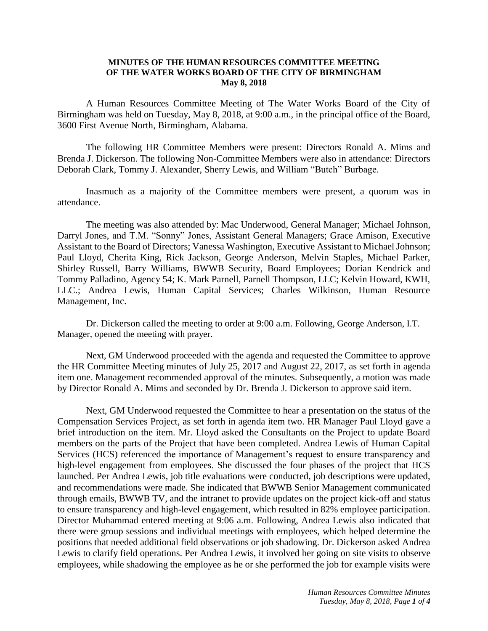## **MINUTES OF THE HUMAN RESOURCES COMMITTEE MEETING OF THE WATER WORKS BOARD OF THE CITY OF BIRMINGHAM May 8, 2018**

A Human Resources Committee Meeting of The Water Works Board of the City of Birmingham was held on Tuesday, May 8, 2018, at 9:00 a.m., in the principal office of the Board, 3600 First Avenue North, Birmingham, Alabama.

The following HR Committee Members were present: Directors Ronald A. Mims and Brenda J. Dickerson. The following Non-Committee Members were also in attendance: Directors Deborah Clark, Tommy J. Alexander, Sherry Lewis, and William "Butch" Burbage.

Inasmuch as a majority of the Committee members were present, a quorum was in attendance.

The meeting was also attended by: Mac Underwood, General Manager; Michael Johnson, Darryl Jones, and T.M. "Sonny" Jones, Assistant General Managers; Grace Amison, Executive Assistant to the Board of Directors; Vanessa Washington, Executive Assistant to Michael Johnson; Paul Lloyd, Cherita King, Rick Jackson, George Anderson, Melvin Staples, Michael Parker, Shirley Russell, Barry Williams, BWWB Security, Board Employees; Dorian Kendrick and Tommy Palladino, Agency 54; K. Mark Parnell, Parnell Thompson, LLC; Kelvin Howard, KWH, LLC.; Andrea Lewis, Human Capital Services; Charles Wilkinson, Human Resource Management, Inc.

Dr. Dickerson called the meeting to order at 9:00 a.m. Following, George Anderson, I.T. Manager, opened the meeting with prayer.

Next, GM Underwood proceeded with the agenda and requested the Committee to approve the HR Committee Meeting minutes of July 25, 2017 and August 22, 2017, as set forth in agenda item one. Management recommended approval of the minutes. Subsequently, a motion was made by Director Ronald A. Mims and seconded by Dr. Brenda J. Dickerson to approve said item.

Next, GM Underwood requested the Committee to hear a presentation on the status of the Compensation Services Project, as set forth in agenda item two. HR Manager Paul Lloyd gave a brief introduction on the item. Mr. Lloyd asked the Consultants on the Project to update Board members on the parts of the Project that have been completed. Andrea Lewis of Human Capital Services (HCS) referenced the importance of Management's request to ensure transparency and high-level engagement from employees. She discussed the four phases of the project that HCS launched. Per Andrea Lewis, job title evaluations were conducted, job descriptions were updated, and recommendations were made. She indicated that BWWB Senior Management communicated through emails, BWWB TV, and the intranet to provide updates on the project kick-off and status to ensure transparency and high-level engagement, which resulted in 82% employee participation. Director Muhammad entered meeting at 9:06 a.m. Following, Andrea Lewis also indicated that there were group sessions and individual meetings with employees, which helped determine the positions that needed additional field observations or job shadowing. Dr. Dickerson asked Andrea Lewis to clarify field operations. Per Andrea Lewis, it involved her going on site visits to observe employees, while shadowing the employee as he or she performed the job for example visits were

> *Human Resources Committee Minutes Tuesday, May 8, 2018, Page 1 of 4*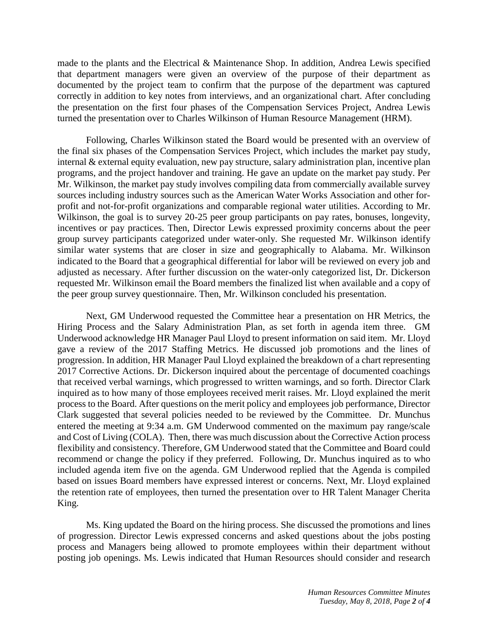made to the plants and the Electrical & Maintenance Shop. In addition, Andrea Lewis specified that department managers were given an overview of the purpose of their department as documented by the project team to confirm that the purpose of the department was captured correctly in addition to key notes from interviews, and an organizational chart. After concluding the presentation on the first four phases of the Compensation Services Project, Andrea Lewis turned the presentation over to Charles Wilkinson of Human Resource Management (HRM).

Following, Charles Wilkinson stated the Board would be presented with an overview of the final six phases of the Compensation Services Project, which includes the market pay study, internal & external equity evaluation, new pay structure, salary administration plan, incentive plan programs, and the project handover and training. He gave an update on the market pay study. Per Mr. Wilkinson, the market pay study involves compiling data from commercially available survey sources including industry sources such as the American Water Works Association and other forprofit and not-for-profit organizations and comparable regional water utilities. According to Mr. Wilkinson, the goal is to survey 20-25 peer group participants on pay rates, bonuses, longevity, incentives or pay practices. Then, Director Lewis expressed proximity concerns about the peer group survey participants categorized under water-only. She requested Mr. Wilkinson identify similar water systems that are closer in size and geographically to Alabama. Mr. Wilkinson indicated to the Board that a geographical differential for labor will be reviewed on every job and adjusted as necessary. After further discussion on the water-only categorized list, Dr. Dickerson requested Mr. Wilkinson email the Board members the finalized list when available and a copy of the peer group survey questionnaire. Then, Mr. Wilkinson concluded his presentation.

Next, GM Underwood requested the Committee hear a presentation on HR Metrics, the Hiring Process and the Salary Administration Plan, as set forth in agenda item three. GM Underwood acknowledge HR Manager Paul Lloyd to present information on said item. Mr. Lloyd gave a review of the 2017 Staffing Metrics. He discussed job promotions and the lines of progression. In addition, HR Manager Paul Lloyd explained the breakdown of a chart representing 2017 Corrective Actions. Dr. Dickerson inquired about the percentage of documented coachings that received verbal warnings, which progressed to written warnings, and so forth. Director Clark inquired as to how many of those employees received merit raises. Mr. Lloyd explained the merit process to the Board. After questions on the merit policy and employees job performance, Director Clark suggested that several policies needed to be reviewed by the Committee. Dr. Munchus entered the meeting at 9:34 a.m. GM Underwood commented on the maximum pay range/scale and Cost of Living (COLA). Then, there was much discussion about the Corrective Action process flexibility and consistency. Therefore, GM Underwood stated that the Committee and Board could recommend or change the policy if they preferred. Following, Dr. Munchus inquired as to who included agenda item five on the agenda. GM Underwood replied that the Agenda is compiled based on issues Board members have expressed interest or concerns. Next, Mr. Lloyd explained the retention rate of employees, then turned the presentation over to HR Talent Manager Cherita King.

Ms. King updated the Board on the hiring process. She discussed the promotions and lines of progression. Director Lewis expressed concerns and asked questions about the jobs posting process and Managers being allowed to promote employees within their department without posting job openings. Ms. Lewis indicated that Human Resources should consider and research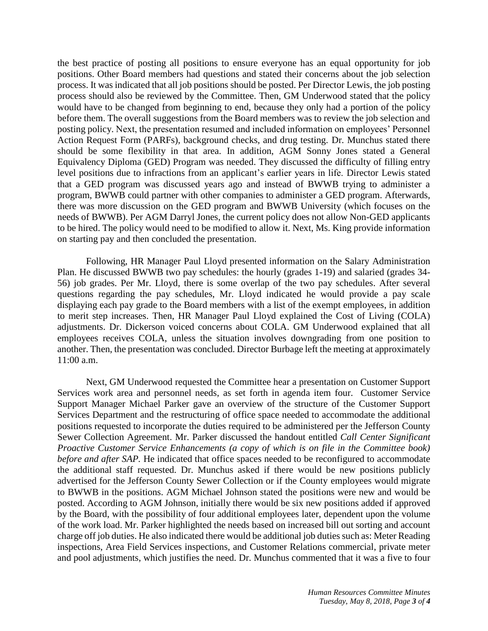the best practice of posting all positions to ensure everyone has an equal opportunity for job positions. Other Board members had questions and stated their concerns about the job selection process. It was indicated that all job positions should be posted. Per Director Lewis, the job posting process should also be reviewed by the Committee. Then, GM Underwood stated that the policy would have to be changed from beginning to end, because they only had a portion of the policy before them. The overall suggestions from the Board members was to review the job selection and posting policy. Next, the presentation resumed and included information on employees' Personnel Action Request Form (PARFs), background checks, and drug testing. Dr. Munchus stated there should be some flexibility in that area. In addition, AGM Sonny Jones stated a General Equivalency Diploma (GED) Program was needed. They discussed the difficulty of filling entry level positions due to infractions from an applicant's earlier years in life. Director Lewis stated that a GED program was discussed years ago and instead of BWWB trying to administer a program, BWWB could partner with other companies to administer a GED program. Afterwards, there was more discussion on the GED program and BWWB University (which focuses on the needs of BWWB). Per AGM Darryl Jones, the current policy does not allow Non-GED applicants to be hired. The policy would need to be modified to allow it. Next, Ms. King provide information on starting pay and then concluded the presentation.

Following, HR Manager Paul Lloyd presented information on the Salary Administration Plan. He discussed BWWB two pay schedules: the hourly (grades 1-19) and salaried (grades 34- 56) job grades. Per Mr. Lloyd, there is some overlap of the two pay schedules. After several questions regarding the pay schedules, Mr. Lloyd indicated he would provide a pay scale displaying each pay grade to the Board members with a list of the exempt employees, in addition to merit step increases. Then, HR Manager Paul Lloyd explained the Cost of Living (COLA) adjustments. Dr. Dickerson voiced concerns about COLA. GM Underwood explained that all employees receives COLA, unless the situation involves downgrading from one position to another. Then, the presentation was concluded. Director Burbage left the meeting at approximately 11:00 a.m.

Next, GM Underwood requested the Committee hear a presentation on Customer Support Services work area and personnel needs, as set forth in agenda item four. Customer Service Support Manager Michael Parker gave an overview of the structure of the Customer Support Services Department and the restructuring of office space needed to accommodate the additional positions requested to incorporate the duties required to be administered per the Jefferson County Sewer Collection Agreement. Mr. Parker discussed the handout entitled *Call Center Significant Proactive Customer Service Enhancements (a copy of which is on file in the Committee book) before and after SAP.* He indicated that office spaces needed to be reconfigured to accommodate the additional staff requested. Dr. Munchus asked if there would be new positions publicly advertised for the Jefferson County Sewer Collection or if the County employees would migrate to BWWB in the positions. AGM Michael Johnson stated the positions were new and would be posted. According to AGM Johnson, initially there would be six new positions added if approved by the Board, with the possibility of four additional employees later, dependent upon the volume of the work load. Mr. Parker highlighted the needs based on increased bill out sorting and account charge off job duties. He also indicated there would be additional job duties such as: Meter Reading inspections, Area Field Services inspections, and Customer Relations commercial, private meter and pool adjustments, which justifies the need. Dr. Munchus commented that it was a five to four